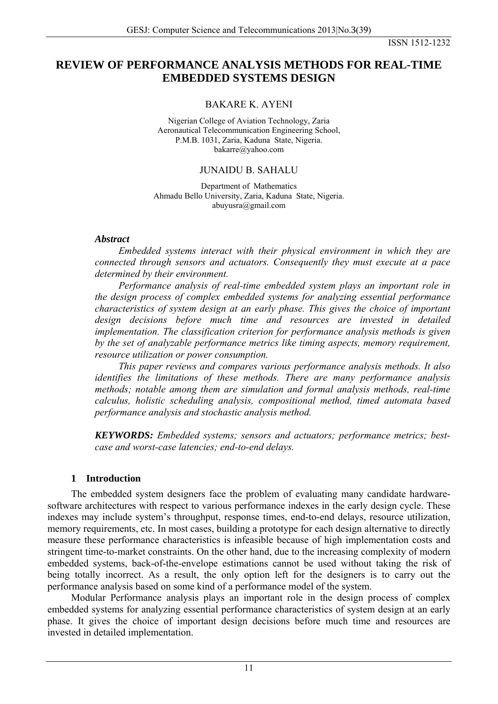# **REVIEW OF PERFORMANCE ANALYSIS METHODS FOR REAL-TIME EMBEDDED SYSTEMS DESIGN**

## BAKARE K. AYENI

Nigerian College of Aviation Technology, Zaria Aeronautical Telecommunication Engineering School, P.M.B. 1031, Zaria, Kaduna State, Nigeria. bakarre@yahoo.com

## JUNAIDU B. SAHALU

Department of Mathematics Ahmadu Bello University, Zaria, Kaduna State, Nigeria. abuyusra@gmail.com

### *Abstract*

*Embedded systems interact with their physical environment in which they are connected through sensors and actuators. Consequently they must execute at a pace determined by their environment.* 

*Performance analysis of real-time embedded system plays an important role in the design process of complex embedded systems for analyzing essential performance characteristics of system design at an early phase. This gives the choice of important*  design decisions before much time and resources are invested in detailed *implementation. The classification criterion for performance analysis methods is given by the set of analyzable performance metrics like timing aspects, memory requirement, resource utilization or power consumption.* 

*This paper reviews and compares various performance analysis methods. It also identifies the limitations of these methods. There are many performance analysis methods; notable among them are simulation and formal analysis methods, real-time calculus, holistic scheduling analysis, compositional method, timed automata based performance analysis and stochastic analysis method.* 

*KEYWORDS: Embedded systems; sensors and actuators; performance metrics; bestcase and worst-case latencies; end-to-end delays.* 

### **1 Introduction**

The embedded system designers face the problem of evaluating many candidate hardwaresoftware architectures with respect to various performance indexes in the early design cycle. These indexes may include system's throughput, response times, end-to-end delays, resource utilization, memory requirements, etc. In most cases, building a prototype for each design alternative to directly measure these performance characteristics is infeasible because of high implementation costs and stringent time-to-market constraints. On the other hand, due to the increasing complexity of modern embedded systems, back-of-the-envelope estimations cannot be used without taking the risk of being totally incorrect. As a result, the only option left for the designers is to carry out the performance analysis based on some kind of a performance model of the system.

Modular Performance analysis plays an important role in the design process of complex embedded systems for analyzing essential performance characteristics of system design at an early phase. It gives the choice of important design decisions before much time and resources are invested in detailed implementation.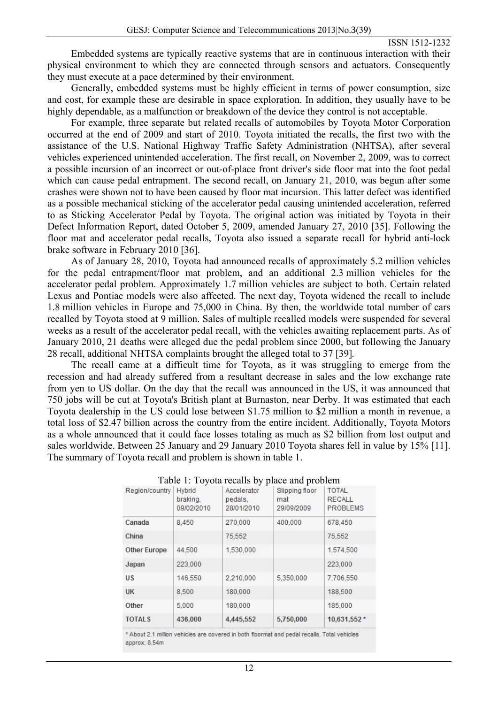Embedded systems are typically reactive systems that are in continuous interaction with their physical environment to which they are connected through sensors and actuators. Consequently they must execute at a pace determined by their environment.

Generally, embedded systems must be highly efficient in terms of power consumption, size and cost, for example these are desirable in space exploration. In addition, they usually have to be highly dependable, as a malfunction or breakdown of the device they control is not acceptable.

For example, three separate but related recalls of automobiles by Toyota Motor Corporation occurred at the end of 2009 and start of 2010. Toyota initiated the recalls, the first two with the assistance of the U.S. National Highway Traffic Safety Administration (NHTSA), after several vehicles experienced unintended acceleration. The first recall, on November 2, 2009, was to correct a possible incursion of an incorrect or out-of-place front driver's side floor mat into the foot pedal which can cause pedal entrapment. The second recall, on January 21, 2010, was begun after some crashes were shown not to have been caused by floor mat incursion. This latter defect was identified as a possible mechanical sticking of the accelerator pedal causing unintended acceleration, referred to as Sticking Accelerator Pedal by Toyota. The original action was initiated by Toyota in their Defect Information Report, dated October 5, 2009, amended January 27, 2010 [35]. Following the floor mat and accelerator pedal recalls, Toyota also issued a separate recall for hybrid anti-lock brake software in February 2010 [36].

As of January 28, 2010, Toyota had announced recalls of approximately 5.2 million vehicles for the pedal entrapment/floor mat problem, and an additional 2.3 million vehicles for the accelerator pedal problem. Approximately 1.7 million vehicles are subject to both. Certain related Lexus and Pontiac models were also affected. The next day, Toyota widened the recall to include 1.8 million vehicles in Europe and 75,000 in China. By then, the worldwide total number of cars recalled by Toyota stood at 9 million. Sales of multiple recalled models were suspended for several weeks as a result of the accelerator pedal recall, with the vehicles awaiting replacement parts. As of January 2010, 21 deaths were alleged due the pedal problem since 2000, but following the January 28 recall, additional NHTSA complaints brought the alleged total to 37 [39]*.* 

The recall came at a difficult time for Toyota, as it was struggling to emerge from the recession and had already suffered from a resultant decrease in sales and the low exchange rate from yen to US dollar. On the day that the recall was announced in the US, it was announced that 750 jobs will be cut at Toyota's British plant at Burnaston, near Derby. It was estimated that each Toyota dealership in the US could lose between \$1.75 million to \$2 million a month in revenue, a total loss of \$2.47 billion across the country from the entire incident. Additionally, Toyota Motors as a whole announced that it could face losses totaling as much as \$2 billion from lost output and sales worldwide. Between 25 January and 29 January 2010 Toyota shares fell in value by 15% [11]. The summary of Toyota recall and problem is shown in table 1.

| Region/country      | <b>Hybrid</b><br>braking.<br>09/02/2010 | Table 1. Toyota recalls by place and problem<br>Accelerator<br>pedals.<br>28/01/2010 | Slipping floor<br>mat<br>29/09/2009 | <b>TOTAL</b><br><b>RECALL</b><br><b>PROBLEMS</b> |
|---------------------|-----------------------------------------|--------------------------------------------------------------------------------------|-------------------------------------|--------------------------------------------------|
| Canada              | 8.450                                   | 270,000                                                                              | 400,000                             | 678,450                                          |
| China               |                                         | 75,552                                                                               |                                     | 75,552                                           |
| <b>Other Europe</b> | 44.500                                  | 1,530,000                                                                            |                                     | 1,574,500                                        |
| Japan               | 223,000                                 |                                                                                      |                                     | 223,000                                          |
| US                  | 146,550                                 | 2.210.000                                                                            | 5,350,000                           | 7.706.550                                        |
| <b>UK</b>           | 8,500                                   | 180,000                                                                              |                                     | 188,500                                          |
| Other               | 5.000                                   | 180,000                                                                              |                                     | 185,000                                          |
| <b>TOTALS</b>       | 436,000                                 | 4,445,552                                                                            | 5,750,000                           | 10,631,552 *                                     |

\* About 2.1 million vehicles are covered in both floormat and pedal recalls. Total vehicles approx: 8.54m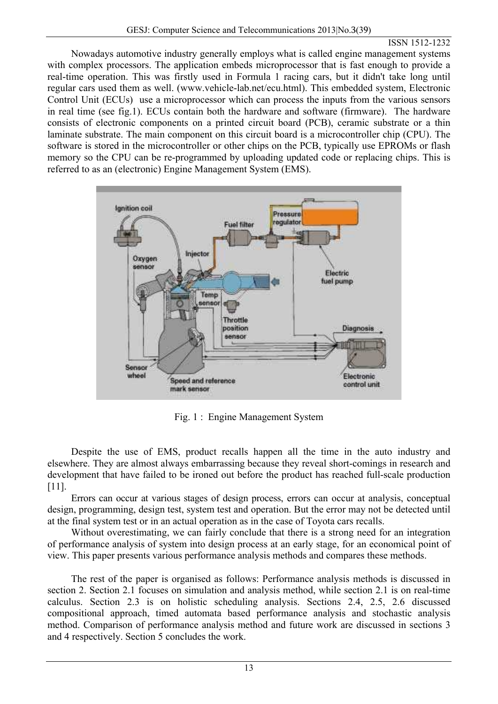Nowadays automotive industry generally employs what is called engine management systems with complex processors. The application embeds microprocessor that is fast enough to provide a real-time operation. This was firstly used in Formula 1 racing cars, but it didn't take long until regular cars used them as well. (www.vehicle-lab.net/ecu.html). This embedded system, Electronic Control Unit (ECUs) use a microprocessor which can process the inputs from the various sensors in real time (see fig.1). ECUs contain both the hardware and software (firmware). The hardware consists of electronic components on a printed circuit board (PCB), ceramic substrate or a thin laminate substrate. The main component on this circuit board is a microcontroller chip (CPU). The software is stored in the microcontroller or other chips on the PCB, typically use EPROMs or flash memory so the CPU can be re-programmed by uploading updated code or replacing chips. This is referred to as an (electronic) Engine Management System (EMS).



Fig. 1 : Engine Management System

Despite the use of EMS, product recalls happen all the time in the auto industry and elsewhere. They are almost always embarrassing because they reveal short-comings in research and development that have failed to be ironed out before the product has reached full-scale production [11].

Errors can occur at various stages of design process, errors can occur at analysis, conceptual design, programming, design test, system test and operation. But the error may not be detected until at the final system test or in an actual operation as in the case of Toyota cars recalls.

Without overestimating, we can fairly conclude that there is a strong need for an integration of performance analysis of system into design process at an early stage, for an economical point of view. This paper presents various performance analysis methods and compares these methods.

The rest of the paper is organised as follows: Performance analysis methods is discussed in section 2. Section 2.1 focuses on simulation and analysis method, while section 2.1 is on real-time calculus. Section 2.3 is on holistic scheduling analysis. Sections 2.4, 2.5, 2.6 discussed compositional approach, timed automata based performance analysis and stochastic analysis method. Comparison of performance analysis method and future work are discussed in sections 3 and 4 respectively. Section 5 concludes the work.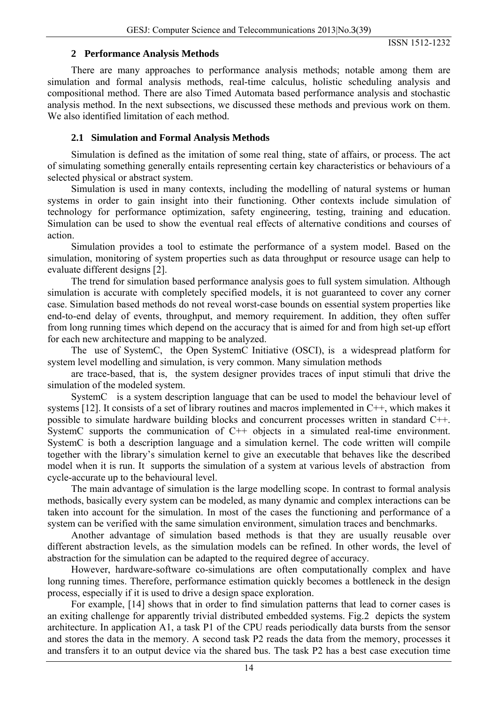## **2 Performance Analysis Methods**

There are many approaches to performance analysis methods; notable among them are simulation and formal analysis methods, real-time calculus, holistic scheduling analysis and compositional method. There are also Timed Automata based performance analysis and stochastic analysis method. In the next subsections, we discussed these methods and previous work on them. We also identified limitation of each method.

## **2.1 Simulation and Formal Analysis Methods**

Simulation is defined as the imitation of some real thing, state of affairs, or process. The act of simulating something generally entails representing certain key characteristics or behaviours of a selected physical or abstract system.

Simulation is used in many contexts, including the modelling of natural systems or human systems in order to gain insight into their functioning. Other contexts include simulation of technology for performance optimization, safety engineering, testing, training and education. Simulation can be used to show the eventual real effects of alternative conditions and courses of action.

Simulation provides a tool to estimate the performance of a system model. Based on the simulation, monitoring of system properties such as data throughput or resource usage can help to evaluate different designs [2].

The trend for simulation based performance analysis goes to full system simulation. Although simulation is accurate with completely specified models, it is not guaranteed to cover any corner case. Simulation based methods do not reveal worst-case bounds on essential system properties like end-to-end delay of events, throughput, and memory requirement. In addition, they often suffer from long running times which depend on the accuracy that is aimed for and from high set-up effort for each new architecture and mapping to be analyzed.

The use of SystemC, the Open SystemC Initiative (OSCI), is a widespread platform for system level modelling and simulation, is very common. Many simulation methods

are trace-based, that is, the system designer provides traces of input stimuli that drive the simulation of the modeled system.

SystemC is a system description language that can be used to model the behaviour level of systems [12]. It consists of a set of library routines and macros implemented in C++, which makes it possible to simulate hardware building blocks and concurrent processes written in standard C++. SystemC supports the communication of C<sup>++</sup> objects in a simulated real-time environment. SystemC is both a description language and a simulation kernel. The code written will compile together with the library's simulation kernel to give an executable that behaves like the described model when it is run. It supports the simulation of a system at various levels of abstraction from cycle-accurate up to the behavioural level.

The main advantage of simulation is the large modelling scope. In contrast to formal analysis methods, basically every system can be modeled, as many dynamic and complex interactions can be taken into account for the simulation. In most of the cases the functioning and performance of a system can be verified with the same simulation environment, simulation traces and benchmarks.

Another advantage of simulation based methods is that they are usually reusable over different abstraction levels, as the simulation models can be refined. In other words, the level of abstraction for the simulation can be adapted to the required degree of accuracy.

However, hardware-software co-simulations are often computationally complex and have long running times. Therefore, performance estimation quickly becomes a bottleneck in the design process, especially if it is used to drive a design space exploration.

For example, [14] shows that in order to find simulation patterns that lead to corner cases is an exiting challenge for apparently trivial distributed embedded systems. Fig.2 depicts the system architecture. In application A1, a task P1 of the CPU reads periodically data bursts from the sensor and stores the data in the memory. A second task P2 reads the data from the memory, processes it and transfers it to an output device via the shared bus. The task P2 has a best case execution time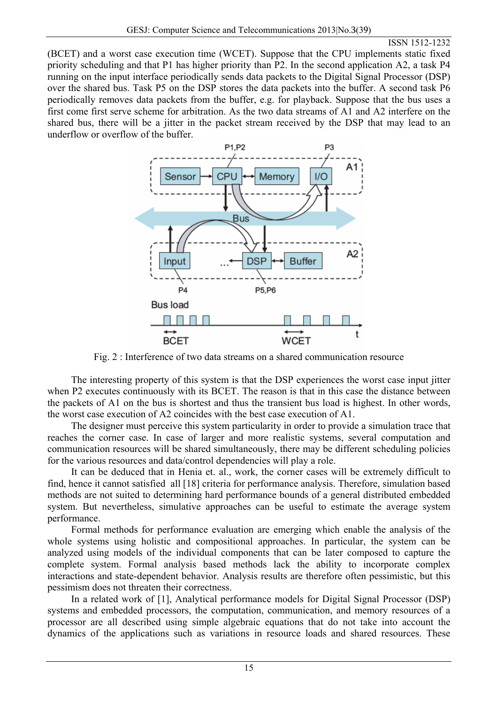(BCET) and a worst case execution time (WCET). Suppose that the CPU implements static fixed priority scheduling and that P1 has higher priority than P2. In the second application A2, a task P4 running on the input interface periodically sends data packets to the Digital Signal Processor (DSP) over the shared bus. Task P5 on the DSP stores the data packets into the buffer. A second task P6 periodically removes data packets from the buffer, e.g. for playback. Suppose that the bus uses a first come first serve scheme for arbitration. As the two data streams of A1 and A2 interfere on the shared bus, there will be a jitter in the packet stream received by the DSP that may lead to an underflow or overflow of the buffer.



Fig. 2 : Interference of two data streams on a shared communication resource

The interesting property of this system is that the DSP experiences the worst case input jitter when P2 executes continuously with its BCET. The reason is that in this case the distance between the packets of A1 on the bus is shortest and thus the transient bus load is highest. In other words, the worst case execution of A2 coincides with the best case execution of A1.

The designer must perceive this system particularity in order to provide a simulation trace that reaches the corner case. In case of larger and more realistic systems, several computation and communication resources will be shared simultaneously, there may be different scheduling policies for the various resources and data/control dependencies will play a role.

It can be deduced that in Henia et. al., work, the corner cases will be extremely difficult to find, hence it cannot satisfied all [18] criteria for performance analysis. Therefore, simulation based methods are not suited to determining hard performance bounds of a general distributed embedded system. But nevertheless, simulative approaches can be useful to estimate the average system performance.

Formal methods for performance evaluation are emerging which enable the analysis of the whole systems using holistic and compositional approaches. In particular, the system can be analyzed using models of the individual components that can be later composed to capture the complete system. Formal analysis based methods lack the ability to incorporate complex interactions and state-dependent behavior. Analysis results are therefore often pessimistic, but this pessimism does not threaten their correctness.

In a related work of [1], Analytical performance models for Digital Signal Processor (DSP) systems and embedded processors, the computation, communication, and memory resources of a processor are all described using simple algebraic equations that do not take into account the dynamics of the applications such as variations in resource loads and shared resources. These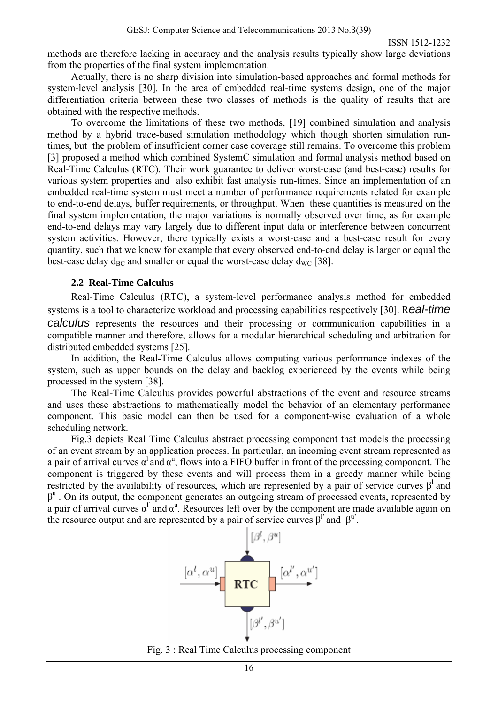methods are therefore lacking in accuracy and the analysis results typically show large deviations from the properties of the final system implementation.

Actually, there is no sharp division into simulation-based approaches and formal methods for system-level analysis [30]. In the area of embedded real-time systems design, one of the major differentiation criteria between these two classes of methods is the quality of results that are obtained with the respective methods.

To overcome the limitations of these two methods, [19] combined simulation and analysis method by a hybrid trace-based simulation methodology which though shorten simulation runtimes, but the problem of insufficient corner case coverage still remains. To overcome this problem [3] proposed a method which combined SystemC simulation and formal analysis method based on Real-Time Calculus (RTC). Their work guarantee to deliver worst-case (and best-case) results for various system properties and also exhibit fast analysis run-times. Since an implementation of an embedded real-time system must meet a number of performance requirements related for example to end-to-end delays, buffer requirements, or throughput. When these quantities is measured on the final system implementation, the major variations is normally observed over time, as for example end-to-end delays may vary largely due to different input data or interference between concurrent system activities. However, there typically exists a worst-case and a best-case result for every quantity, such that we know for example that every observed end-to-end delay is larger or equal the best-case delay  $d_{BC}$  and smaller or equal the worst-case delay  $d_{WC}$  [38].

#### **2.2 Real-Time Calculus**

Real-Time Calculus (RTC), a system-level performance analysis method for embedded systems is a tool to characterize workload and processing capabilities respectively [30]. R*eal-time calculus* represents the resources and their processing or communication capabilities in a compatible manner and therefore, allows for a modular hierarchical scheduling and arbitration for distributed embedded systems [25].

In addition, the Real-Time Calculus allows computing various performance indexes of the system, such as upper bounds on the delay and backlog experienced by the events while being processed in the system [38].

The Real-Time Calculus provides powerful abstractions of the event and resource streams and uses these abstractions to mathematically model the behavior of an elementary performance component. This basic model can then be used for a component-wise evaluation of a whole scheduling network.

Fig.3 depicts Real Time Calculus abstract processing component that models the processing of an event stream by an application process. In particular, an incoming event stream represented as a pair of arrival curves  $\alpha^l$  and  $\alpha^u$ , flows into a FIFO buffer in front of the processing component. The component is triggered by these events and will process them in a greedy manner while being restricted by the availability of resources, which are represented by a pair of service curves  $\beta^1$  and  $\beta^u$ . On its output, the component generates an outgoing stream of processed events, represented by a pair of arrival curves  $\alpha^{\prime}$  and  $\alpha^{\prime\prime}$ . Resources left over by the component are made available again on the resource output and are represented by a pair of service curves  $\beta^{\prime}$  and  $\beta^{\prime\prime}$ .



Fig. 3 : Real Time Calculus processing component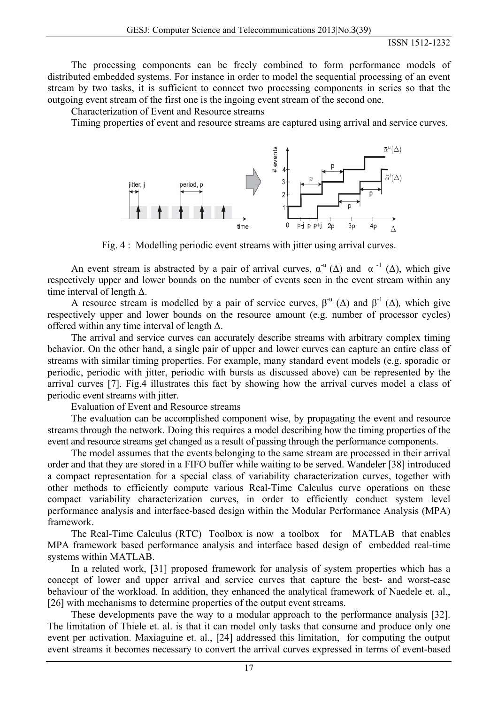The processing components can be freely combined to form performance models of distributed embedded systems. For instance in order to model the sequential processing of an event stream by two tasks, it is sufficient to connect two processing components in series so that the outgoing event stream of the first one is the ingoing event stream of the second one.

Characterization of Event and Resource streams

Timing properties of event and resource streams are captured using arrival and service curves.



Fig. 4 : Modelling periodic event streams with jitter using arrival curves.

An event stream is abstracted by a pair of arrival curves,  $\alpha^{-u}$  ( $\Delta$ ) and  $\alpha^{-1}$  ( $\Delta$ ), which give respectively upper and lower bounds on the number of events seen in the event stream within any time interval of length Δ.

A resource stream is modelled by a pair of service curves,  $\beta^{-u}$  ( $\Delta$ ) and  $\beta^{-1}$  ( $\Delta$ ), which give respectively upper and lower bounds on the resource amount (e.g. number of processor cycles) offered within any time interval of length  $\Delta$ .

The arrival and service curves can accurately describe streams with arbitrary complex timing behavior. On the other hand, a single pair of upper and lower curves can capture an entire class of streams with similar timing properties. For example, many standard event models (e.g. sporadic or periodic, periodic with jitter, periodic with bursts as discussed above) can be represented by the arrival curves [7]. Fig.4 illustrates this fact by showing how the arrival curves model a class of periodic event streams with jitter.

Evaluation of Event and Resource streams

The evaluation can be accomplished component wise, by propagating the event and resource streams through the network. Doing this requires a model describing how the timing properties of the event and resource streams get changed as a result of passing through the performance components.

The model assumes that the events belonging to the same stream are processed in their arrival order and that they are stored in a FIFO buffer while waiting to be served. Wandeler [38] introduced a compact representation for a special class of variability characterization curves, together with other methods to efficiently compute various Real-Time Calculus curve operations on these compact variability characterization curves, in order to efficiently conduct system level performance analysis and interface-based design within the Modular Performance Analysis (MPA) framework.

The Real-Time Calculus (RTC) Toolbox is now a toolbox for MATLAB that enables MPA framework based performance analysis and interface based design of embedded real-time systems within MATLAB.

In a related work, [31] proposed framework for analysis of system properties which has a concept of lower and upper arrival and service curves that capture the best- and worst-case behaviour of the workload. In addition, they enhanced the analytical framework of Naedele et. al., [26] with mechanisms to determine properties of the output event streams.

These developments pave the way to a modular approach to the performance analysis [32]. The limitation of Thiele et. al. is that it can model only tasks that consume and produce only one event per activation. Maxiaguine et. al., [24] addressed this limitation, for computing the output event streams it becomes necessary to convert the arrival curves expressed in terms of event-based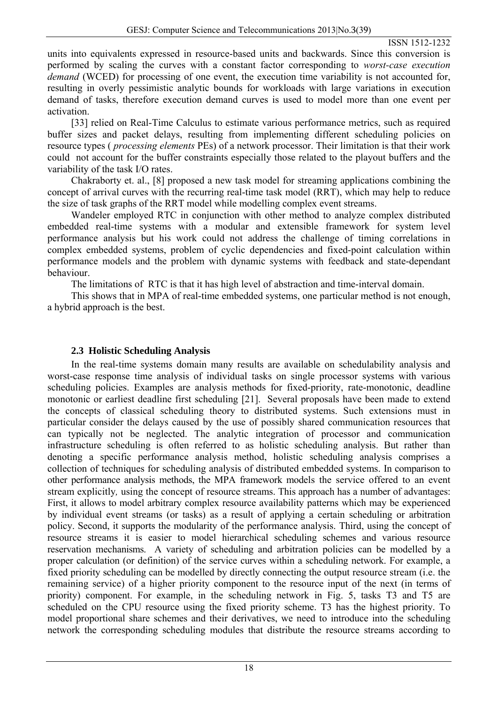units into equivalents expressed in resource-based units and backwards. Since this conversion is performed by scaling the curves with a constant factor corresponding to *worst-case execution demand* (WCED) for processing of one event, the execution time variability is not accounted for, resulting in overly pessimistic analytic bounds for workloads with large variations in execution demand of tasks, therefore execution demand curves is used to model more than one event per activation.

[33] relied on Real-Time Calculus to estimate various performance metrics, such as required buffer sizes and packet delays, resulting from implementing different scheduling policies on resource types ( *processing elements* PEs) of a network processor. Their limitation is that their work could not account for the buffer constraints especially those related to the playout buffers and the variability of the task I/O rates.

Chakraborty et. al., [8] proposed a new task model for streaming applications combining the concept of arrival curves with the recurring real-time task model (RRT), which may help to reduce the size of task graphs of the RRT model while modelling complex event streams.

Wandeler employed RTC in conjunction with other method to analyze complex distributed embedded real-time systems with a modular and extensible framework for system level performance analysis but his work could not address the challenge of timing correlations in complex embedded systems, problem of cyclic dependencies and fixed-point calculation within performance models and the problem with dynamic systems with feedback and state-dependant behaviour.

The limitations of RTC is that it has high level of abstraction and time-interval domain.

This shows that in MPA of real-time embedded systems, one particular method is not enough, a hybrid approach is the best.

## **2.3 Holistic Scheduling Analysis**

In the real-time systems domain many results are available on schedulability analysis and worst-case response time analysis of individual tasks on single processor systems with various scheduling policies. Examples are analysis methods for fixed-priority, rate-monotonic, deadline monotonic or earliest deadline first scheduling [21]. Several proposals have been made to extend the concepts of classical scheduling theory to distributed systems. Such extensions must in particular consider the delays caused by the use of possibly shared communication resources that can typically not be neglected. The analytic integration of processor and communication infrastructure scheduling is often referred to as holistic scheduling analysis. But rather than denoting a specific performance analysis method, holistic scheduling analysis comprises a collection of techniques for scheduling analysis of distributed embedded systems. In comparison to other performance analysis methods, the MPA framework models the service offered to an event stream explicitly*,* using the concept of resource streams. This approach has a number of advantages: First, it allows to model arbitrary complex resource availability patterns which may be experienced by individual event streams (or tasks) as a result of applying a certain scheduling or arbitration policy. Second, it supports the modularity of the performance analysis. Third, using the concept of resource streams it is easier to model hierarchical scheduling schemes and various resource reservation mechanisms. A variety of scheduling and arbitration policies can be modelled by a proper calculation (or definition) of the service curves within a scheduling network. For example, a fixed priority scheduling can be modelled by directly connecting the output resource stream (i.e. the remaining service) of a higher priority component to the resource input of the next (in terms of priority) component. For example, in the scheduling network in Fig. 5, tasks T3 and T5 are scheduled on the CPU resource using the fixed priority scheme. T3 has the highest priority. To model proportional share schemes and their derivatives, we need to introduce into the scheduling network the corresponding scheduling modules that distribute the resource streams according to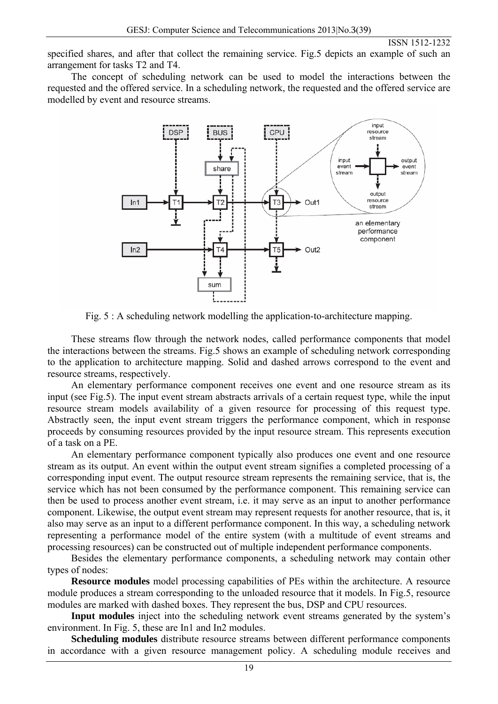specified shares, and after that collect the remaining service. Fig.5 depicts an example of such an arrangement for tasks T2 and T4.

The concept of scheduling network can be used to model the interactions between the requested and the offered service. In a scheduling network, the requested and the offered service are modelled by event and resource streams.



Fig. 5 : A scheduling network modelling the application-to-architecture mapping.

These streams flow through the network nodes, called performance components that model the interactions between the streams. Fig.5 shows an example of scheduling network corresponding to the application to architecture mapping. Solid and dashed arrows correspond to the event and resource streams, respectively.

An elementary performance component receives one event and one resource stream as its input (see Fig.5). The input event stream abstracts arrivals of a certain request type, while the input resource stream models availability of a given resource for processing of this request type. Abstractly seen, the input event stream triggers the performance component, which in response proceeds by consuming resources provided by the input resource stream. This represents execution of a task on a PE.

An elementary performance component typically also produces one event and one resource stream as its output. An event within the output event stream signifies a completed processing of a corresponding input event. The output resource stream represents the remaining service, that is, the service which has not been consumed by the performance component. This remaining service can then be used to process another event stream, i.e. it may serve as an input to another performance component. Likewise, the output event stream may represent requests for another resource, that is, it also may serve as an input to a different performance component. In this way, a scheduling network representing a performance model of the entire system (with a multitude of event streams and processing resources) can be constructed out of multiple independent performance components.

Besides the elementary performance components, a scheduling network may contain other types of nodes:

**Resource modules** model processing capabilities of PEs within the architecture. A resource module produces a stream corresponding to the unloaded resource that it models. In Fig.5, resource modules are marked with dashed boxes. They represent the bus, DSP and CPU resources.

**Input modules** inject into the scheduling network event streams generated by the system's environment. In Fig. 5, these are In1 and In2 modules.

**Scheduling modules** distribute resource streams between different performance components in accordance with a given resource management policy. A scheduling module receives and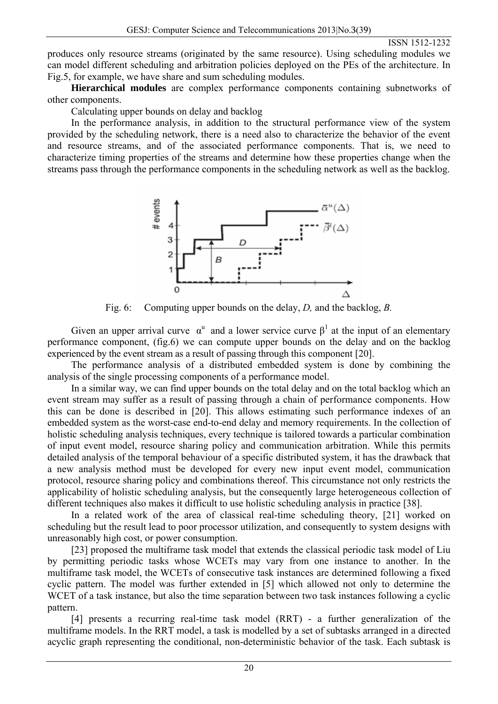produ ces only resource streams (originated by the same resource). Using scheduling modules we can model different scheduling and arbitration policies deployed on the PEs of the architecture. In Fig.5, for example, we have share and sum scheduling modules.

**Hierarchical modules** are complex performance components containing subnetworks of other components.

Calculating upper bounds on delay and backlog

In the performance analysis, in addition to the structural performance view of the system provided by the scheduling network, there is a need also to characterize the behavior of the event and r esource streams, and of the associated performance components. That is, we need to characterize timing properties of the streams and determine how these properties change when the streams pass through the performance components in the scheduling network as well as the backlog.



Fig. 6: Computing upper bounds on the delay, *D,* and the backlog, *B.* 

Given an upper arrival curve  $\alpha^u$  and a lower service curve  $\beta^1$  at the input of an elementary performance component, (fig.6) we can compute upper bounds on the delay and on the backlog exper ienced by the event stream as a result of passing through this component [20].

The performance analysis of a distributed embedded system is done by combining the analysis of the single processing components of a performance model.

event stream may suffer as a result of passing through a chain of performance components. How this c an be done is described in [20]. This allows estimating such performance indexes of an In a similar way, we can find upper bounds on the total delay and on the total backlog which an embedded system as the worst-case end-to-end delay and memory requirements. In the collection of holistic scheduling analysis techniques, every technique is tailored towards a particular combination of input event model, resource sharing policy and communication arbitration. While this permits detailed analysis of the temporal behaviour of a specific distributed system, it has the drawback that a new analysis method must be developed for every new input event model, communication protocol, resource sharing policy and combinations thereof. This circumstance not only restricts the applicability of holistic scheduling analysis, but the consequently large heterogeneous collection of different techniques also makes it difficult to use holistic scheduling analysis in practice [38].

scheduling but the result lead to poor processor utilization, and consequently to system designs with unrea sonably high cost, or power consumption. In a related work of the area of classical real-time scheduling theory, [21] worked on

by permitting periodic tasks whose WCETs may vary from one instance to another. In the multif rame task model, the WCETs of consecutive task instances are determined following a fixed [23] proposed the multiframe task model that extends the classical periodic task model of Liu cyclic pattern. The model was further extended in [5] which allowed not only to determine the WCET of a task instance, but also the time separation between two task instances following a cyclic pattern.

multiframe models. In the RRT model, a task is modelled by a set of subtasks arranged in a directed acyclic graph representing the conditional, non-deterministic behavior of the task. Each subtask is [4] presents a recurring real-time task model (RRT) - a further generalization of the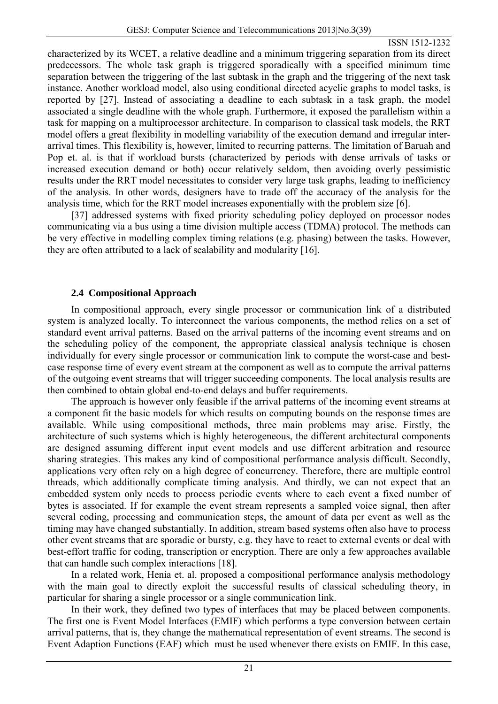chara cterized by its WCET, a relative deadline and a minimum triggering separation from its direct predecessors. The whole task graph is triggered sporadically with a specified minimum time separation between the triggering of the last subtask in the graph and the triggering of the next task instance. Another workload model, also using conditional directed acyclic graphs to model tasks, is reported by [27]. Instead of associating a deadline to each subtask in a task graph, the model associated a single deadline with the whole graph. Furthermore, it exposed the parallelism within a task for mapping on a multiprocessor architecture. In comparison to classical task models, the RRT model offers a great flexibility in modelling variability of the execution demand and irregular interarrival times. This flexibility is, however, limited to recurring patterns. The limitation of Baruah and Pop et. al. is that if workload bursts (characterized by periods with dense arrivals of tasks or increased execution demand or both) occur relatively seldom, then avoiding overly pessimistic results under the RRT model necessitates to consider very large task graphs, leading to inefficiency of the analysis. In other words, designers have to trade off the accuracy of the analysis for the analysis time, which for the RRT model increases exponentially with the problem size [6].

be very effective in modelling complex timing relations (e.g. phasing) between the tasks. However, they a re often attributed to a lack of scalability and modularity [16]. [37] addressed systems with fixed priority scheduling policy deployed on processor nodes communicating via a bus using a time division multiple access (TDMA) protocol. The methods can

## **2.4 Compositional Approach**

In compositional approach, every single processor or communication link of a distributed system is analyzed locally. To interconnect the various components, the method relies on a set of standard event arrival patterns. Based on the arrival patterns of the incoming event streams and on the sc heduling policy of the component, the appropriate classical analysis technique is chosen individually for every single processor or communication link to compute the worst-case and bestcase response time of every event stream at the component as well as to compute the arrival patterns of the outgoing event streams that will trigger succeeding components. The local analysis results are then combined to obtain global end-to-end delays and buffer requirements.

available. While using compositional methods, three main problems may arise. Firstly, the archit ecture of such systems which is highly heterogeneous, the different architectural components The approach is however only feasible if the arrival patterns of the incoming event streams at a component fit the basic models for which results on computing bounds on the response times are are designed assuming different input event models and use different arbitration and resource sharing strategies. This makes any kind of compositional performance analysis difficult. Secondly, applications very often rely on a high degree of concurrency. Therefore, there are multiple control threads, which additionally complicate timing analysis. And thirdly, we can not expect that an embedded system only needs to process periodic events where to each event a fixed number of bytes is associated. If for example the event stream represents a sampled voice signal, then after several coding, processing and communication steps, the amount of data per event as well as the timing may have changed substantially. In addition, stream based systems often also have to process other event streams that are sporadic or bursty, e.g. they have to react to external events or deal with best-effort traffic for coding, transcription or encryption. There are only a few approaches available that can handle such complex interactions [18].

particular for sharing a single processor or a single communication link. In a related work, Henia et. al. proposed a compositional performance analysis methodology with the main goal to directly exploit the successful results of classical scheduling theory, in

arrival patterns, that is, they change the mathematical representation of event streams. The second is Event Adaption Functions (EAF) which must be used whenever there exists on EMIF. In this case, In their work, they defined two types of interfaces that may be placed between components. The first one is Event Model Interfaces (EMIF) which performs a type conversion between certain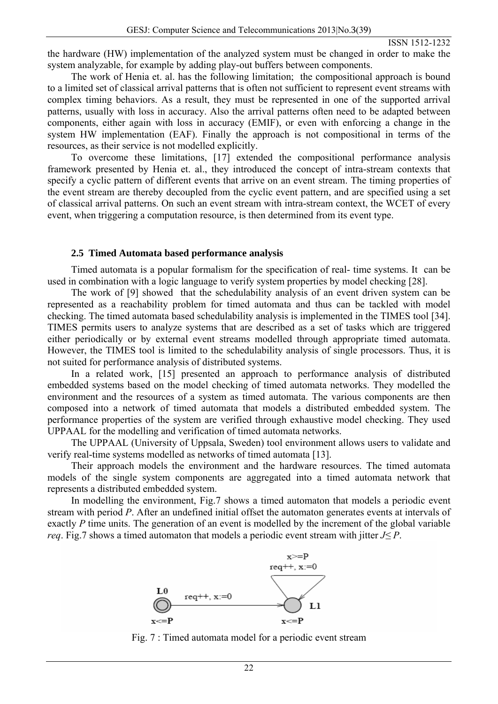the ha rdware (HW) implementation of the analyzed system must be changed in order to make the system analyzable, for example by adding play-out buffers between components.

patterns, usually with loss in accuracy. Also the arrival patterns often need to be adapted between comp onents, either again with loss in accuracy (EMIF), or even with enforcing a change in the The work of Henia et. al. has the following limitation; the compositional approach is bound to a limited set of classical arrival patterns that is often not sufficient to represent event streams with complex timing behaviors. As a result, they must be represented in one of the supported arrival system HW implementation (EAF). Finally the approach is not compositional in terms of the resources, as their service is not modelled explicitly.

the event stream are thereby decoupled from the cyclic event pattern, and are specified using a set of cla ssical arrival patterns. On such an event stream with intra-stream context, the WCET of every To overcome these limitations, [17] extended the compositional performance analysis framework presented by Henia et. al., they introduced the concept of intra-stream contexts that specify a cyclic pattern of different events that arrive on an event stream. The timing properties of event, when triggering a computation resource, is then determined from its event type.

#### **2.5 Timed Automata based performance analysis**

Timed automata is a popular formalism for the specification of real- time systems. It can be used in combination with a logic language to verify system properties by model checking [28].

The work of [9] showed that the schedulability analysis of an event driven system can be represented as a reachability problem for timed automata and thus can be tackled with model check ing. The timed automata based schedulability analysis is implemented in the TIMES tool [34]. TIMES permits users to analyze systems that are described as a set of tasks which are triggered either periodically or by external event streams modelled through appropriate timed automata. However, the TIMES tool is limited to the schedulability analysis of single processors. Thus, it is not suited for performance analysis of distributed systems.

composed into a network of timed automata that models a distributed embedded system. The perfo rmance properties of the system are verified through exhaustive model checking. They used In a related work, [15] presented an approach to performance analysis of distributed embedded systems based on the model checking of timed automata networks. They modelled the environment and the resources of a system as timed automata. The various components are then UPPAAL for the modelling and verification of timed automata networks.

The UPPAAL (University of Uppsala, Sweden) tool environment allows users to validate and verify real-time systems modelled as networks of timed automata [13].

models of the single system components are aggregated into a timed automata network that repres ents a distributed embedded system. Their approach models the environment and the hardware resources. The timed automata

In modelling the environment, Fig.7 shows a timed automaton that models a periodic event stream with period *P*. After an undefined initial offset the automaton generates events at intervals of *req*. Fig.7 shows a timed automaton that models a periodic event stream with jitter  $J \leq P$ . exactly *P* time units. The generation of an event is modelled by the increment of the global variable



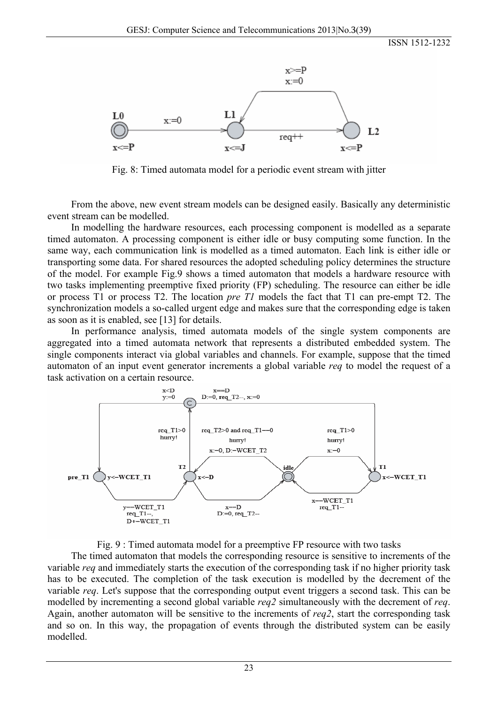

Fig. 8: Timed automata model for a periodic event stream with jitter

From the above, new event stream models can be designed easily. Basically any deterministic event stream can be modelled.

In modelling the hardware resources, each processing component is modelled as a separate timed automaton. A processing component is either idle or busy computing some function. In the same way, each communication link is modelled as a timed automaton. Each link is either idle or transporting some data. For shared resources the adopted scheduling policy determines the structure of the model. For example Fig.9 shows a timed automaton that models a hardware resource with two tasks implementing preemptive fixed priority (FP) scheduling. The resource can either be idle or process T1 or process T2. The location *pre T1* models the fact that T1 can pre-empt T2. The synch ronization models a so-called urgent edge and makes sure that the corresponding edge is taken as soon as it is enabled, see  $[13]$  for details.

In performance analysis, timed automata models of the single system components are aggregated into a timed automata network that represents a distributed embedded system. The single components interact via global variables and channels. For example, suppose that the timed automaton of an input event generator increments a global variable *req* to model the request of a task activation on a certain resource.



Fig. 9 : Timed automata model for a preemptive FP resource with two tasks

The timed automaton that models the corresponding resource is sensitive to increments of the variable *req* and immediately starts the execution of the corresponding task if no higher priority task has to be executed. The completion of the task execution is modelled by the decrement of the variable *req*. Let's suppose that the corresponding output event triggers a second task. This can be modelled by incrementing a second global variable *req2* simultaneously with the decrement of *req*. Again, another automaton will be sensitive to the increments of *req2*, start the corresponding task and so on. In this way, the propagation of events through the distributed system can be easily modelled.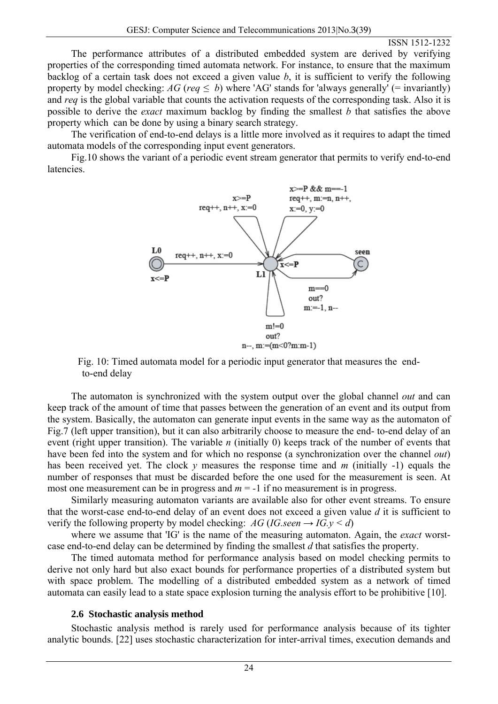The performance attributes of a distributed embedded system are derived by verifying properties of the corresponding timed automata network. For instance, to ensure that the maximum backlog of a certain task does not exceed a given value *b*, it is sufficient to verify the following property by model checking:  $AG$  (*req*  $\leq b$ ) where 'AG' stands for 'always generally' (= invariantly) and *req* is the global variable that counts the activation requests of the corresponding task. Also it is possible to derive the *exact* maximum backlog by finding the smallest *b* that satisfies the above property which can be done by using a binary search strategy.

The verification of end-to-end delays is a little more involved as it requires to adapt the timed automata models of the corresponding input event generators.

Fig.10 shows the variant of a periodic event stream generator that permits to verify end-to-end latencies.



Fig. 10: Timed automata model for a periodic input generator that measures the end to-end delay

The automaton is synchronized with the system output over the global channel *out* and can keep track of the amount of time that passes between the generation of an event and its output from the system. Basically, the automaton can generate input events in the same way as the automaton of Fig.7 (left upper transition), but it can also arbitrarily choose to measure the end- to-end delay of an event (right upper transition). The variable *n* (initially 0) keeps track of the number of events that have been fed into the system and for which no response (a synchronization over the channel *out*) has been received yet. The clock  $y$  measures the response time and  $m$  (initially -1) equals the number of responses that must be discarded before the one used for the measurement is seen. At most one measurement can be in progress and  $m = -1$  if no measurement is in progress.

Similarly measuring automaton variants are available also for other event streams. To ensure that the worst-case end-to-end delay of an event does not exceed a given value *d* it is sufficient to verify the following property by model checking:  $AG (IG, seen \rightarrow IG, v < d)$ 

where we assume that 'IG' is the name of the measuring automaton. Again, the *exact* worstcase end-to-end delay can be determined by finding the smallest *d* that satisfies the property.

with space problem. The modelling of a distributed embedded system as a network of timed autom ata can easily lead to a state space explosion turning the analysis effort to be prohibitive [10]. The timed automata method for performance analysis based on model checking permits to derive not only hard but also exact bounds for performance properties of a distributed system but

### **2.6 Stochastic analysis method**

analytic bounds. [22] uses stochastic characterization for inter-arrival times, execution demands and Stochastic analysis method is rarely used for performance analysis because of its tighter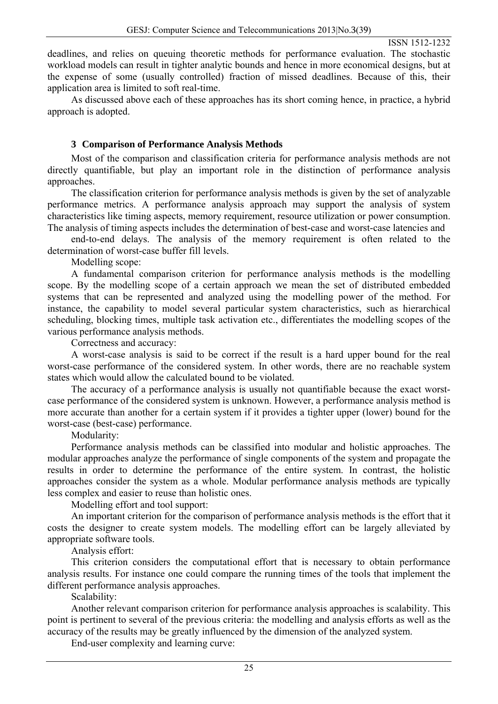deadl ines, and relies on queuing theoretic methods for performance evaluation. The stochastic workload models can result in tighter analytic bounds and hence in more economical designs, but at the expense of some (usually controlled) fraction of missed deadlines. Because of this, their application area is limited to soft real-time.

As discussed above each of these approaches has its short coming hence, in practice, a hybrid appro ach is adopted.

#### **3 Comparison of Performance Analysis Methods**

Most of the comparison and classification criteria for performance analysis methods are not directly quantifiable, but play an important role in the distinction of performance analysis approaches.

performance metrics. A performance analysis approach may support the analysis of system characteristics like timing aspects, memory requirement, resource utilization or power consumption. The analysis of timing aspects includes the determination of best-case and worst-case latencies and The classification criterion for performance analysis methods is given by the set of analyzable

end-to-end delays. The analysis of the memory requirement is often related to the determ ination of worst-case buffer fill levels.

Modelling scope:

A fundamental comparison criterion for performance analysis methods is the modelling scope . By the modelling scope of a certain approach we mean the set of distributed embedded variou s performance analysis methods. systems that can be represented and analyzed using the modelling power of the method. For instance, the capability to model several particular system characteristics, such as hierarchical scheduling, blocking times, multiple task activation etc., differentiates the modelling scopes of the

Correctness and accuracy:

A worst-case analysis is said to be correct if the result is a hard upper bound for the real worst -case performance of the considered system. In other words, there are no reachable system states which would allow the calculated bound to be violated.

The accuracy of a performance analysis is usually not quantifiable because the exact worstcase performance of the considered system is unknown. However, a performance analysis method is more accurate than another for a certain system if it provides a tighter upper (lower) bound for the worst-case (best-case) performance.

Modularity:

results in order to determine the performance of the entire system. In contrast, the holistic appro aches consider the system as a whole. Modular performance analysis methods are typically Performance analysis methods can be classified into modular and holistic approaches. The modular approaches analyze the performance of single components of the system and propagate the less complex and easier to reuse than holistic ones.

Modelling effort and tool support:

An important criterion for the comparison of performance analysis methods is the effort that it costs the designer to create system models. The modelling effort can be largely alleviated by appro priate software tools.

Analysis effort:

This criterion considers the computational effort that is necessary to obtain performance analysis results. For instance one could compare the running times of the tools that implement the different performance analysis approaches.

Scalability:

accuracy of the results may be greatly influenced by the dimension of the analyzed system. Another relevant comparison criterion for performance analysis approaches is scalability. This point is pertinent to several of the previous criteria: the modelling and analysis efforts as well as the

End-user complexity and learning curve: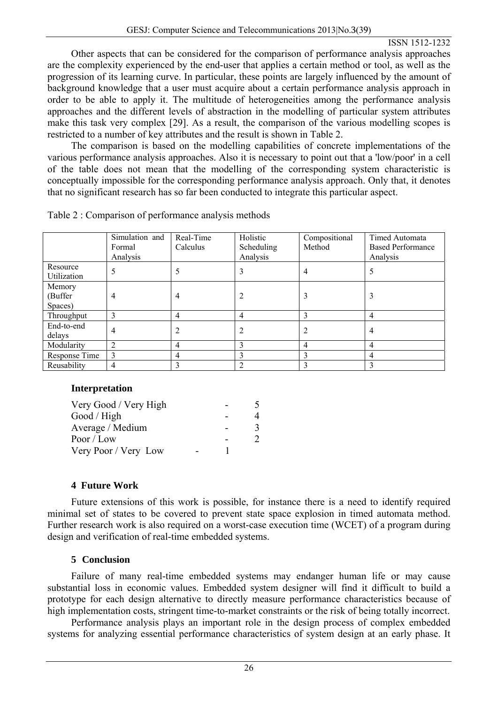Other aspects that can be considered for the comparison of performance analysis approaches are the complexity experienced by the end-user that applies a certain method or tool, as well as the progression of its learning curve. In particular, these points are largely influenced by the amount of background knowledge that a user must acquire about a certain performance analysis approach in order to be able to apply it. The multitude of heterogeneities among the performance analysis make this task very complex [29]. As a result, the comparison of the various modelling scopes is restricted to a number of key attributes and the result is shown in Table 2. approaches and the different levels of abstraction in the modelling of particular system attributes

The comparison is based on the modelling capabilities of concrete implementations of the various performance analysis approaches. Also it is necessary to point out that a 'low/poor' in a cell of the table does not mean that the modelling of the corresponding system characteristic is conceptually impossible for the corresponding performance analysis approach. Only that, it denotes that no significant research has so far been conducted to integrate this particular aspect.

|                              | Simulation and<br>Formal<br>Analysis | Real-Time<br>Calculus | Holistic<br>Scheduling<br>Analysis | Compositional<br>Method | Timed Automata<br><b>Based Performance</b><br>Analysis |
|------------------------------|--------------------------------------|-----------------------|------------------------------------|-------------------------|--------------------------------------------------------|
| Resource<br>Utilization      |                                      |                       | 3                                  | 4                       |                                                        |
| Memory<br>(Buffer<br>Spaces) | 4                                    | 4                     |                                    |                         | 3                                                      |
| Throughput                   | 3                                    | 4                     | $\overline{4}$                     | 3                       | 4                                                      |
| End-to-end<br>delays         | 4                                    |                       |                                    |                         | 4                                                      |
| Modularity                   | $\overline{2}$                       | 4                     | 3                                  | $\overline{4}$          | 4                                                      |
| Response Time                | 3                                    | 4                     | 3                                  | 3                       | 4                                                      |
| Reusability                  | 4                                    |                       |                                    |                         |                                                        |

Table 2 : Comparison of performance analysis methods

# **Interpretation**

| Very Good / Very High |  |  |
|-----------------------|--|--|
| Good / High           |  |  |
| Average / Medium      |  |  |
| Poor / Low            |  |  |
| Very Poor / Very Low  |  |  |

# **4 Future Work**

Future extensions of this work is possible, for instance there is a need to identify required minimal set of states to be covered to prevent state space explosion in timed automata method. Further research work is also required on a worst-case execution time (WCET) of a program during desig n and verification of real-time embedded systems.

# **Conclusion 5**

Failure of many real-time embedded systems may endanger human life or may cause substa ntial loss in economic values. Embedded system designer will find it difficult to build a prototype for each design alternative to directly measure performance characteristics because of high implementation costs, stringent time-to-market constraints or the risk of being totally incorrect.

systems for analyzing essential performance characteristics of system design at an early phase. It Performance analysis plays an important role in the design process of complex embedded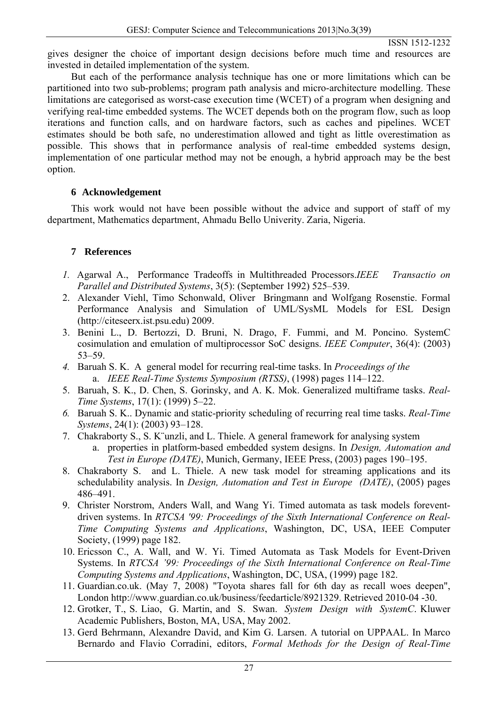gives designer the choice of important design decisions before much time and resources are inves ted in detailed implementation of the system.

But each of the performance analysis technique has one or more limitations which can be partitioned into two sub-problems; program path analysis and micro-architecture modelling. These limitations are categorised as worst-case execution time (WCET) of a program when designing and verifying real-time embedded systems. The WCET depends both on the program flow, such as loop iterations and function calls, and on hardware factors, such as caches and pipelines. WCET estimates should be both safe, no underestimation allowed and tight as little overestimation as possible. This shows that in performance analysis of real-time embedded systems design, implementation of one particular method may not be enough, a hybrid approach may be the best option.

### **6 Acknowledgement**

This work would not have been possible without the advice and support of staff of my department, Mathematics department, Ahmadu Bello Univerity. Zaria, Nigeria.

### **7 References**

- 1. Agarwal A., Performance Tradeoffs in Multithreaded Processors.*IEEE Transactio on Parallel and Distributed Systems*, 3(5): (September 1992) 525–539.
- Performance Analysis and Simulation of UML/SysML Models for ESL Design (http://citeseerx.ist.psu.edu) 2009. 2. Alexander Viehl, Timo Schonwald, Oliver Bringmann and Wolfgang Rosenstie. Formal
- 3. Benini L., D. Bertozzi, D. Bruni, N. Drago, F. Fummi, and M. Poncino. SystemC cosimulation and emulation of multiprocessor SoC designs. *IEEE Computer*, 36(4): (2003) 53–59.
- *4.* Baruah S. K. A general model for recurring real-time tasks. In *Proceedings of the*  a. *IEEE Real-Time Systems Symposium (RTSS)*, (1998) pages 114–122.
- 5. Baruah, S. K., D. Chen, S. Gorinsky, and A. K. Mok. Generalized multiframe tasks. *Real-Time Systems*, 17(1): (1999) 5–22.
- *6.* Baruah S. K.. Dynamic and static-priority scheduling of recurring real time tasks. *Real-Time Systems*, 24(1): (2003) 93–128.
- a. properties in platform-based embedded system designs. In *Design, Automation and* Test in Europe (DATE), Munich, Germany, IEEE Press, (2003) pages 190-195. 7. Chakraborty S., S. K¨unzli, and L. Thiele. A general framework for analysing system
- 8. Chakraborty S. and L. Thiele. A new task model for streaming applications and its schedulability analysis. In *Design, Automation and Test in Europe (DATE)*, (2005) pages 486–491.
- driven systems. In *RTCSA '99: Proceedings of the Sixth International Conference on Real-*9. Christer Norstrom, Anders Wall, and Wang Yi. Timed automata as task models forevent-*Time Computing Systems and Applications*, Washington, DC, USA, IEEE Computer Society, (1999) page 182.
- 10. Ericsson C., A. Wall, and W. Yi. Timed Automata as Task Models for Event-Driven Systems. In *RTCSA '99: Proceedings of the Sixth International Conference on Real-Time Computing Systems and Applications*, Washington, DC, USA, (1999) page 182.
- 11. Guardian.co.uk. (May 7, 2008) "Toyota shares fall for 6th day as recall woes deepen", London http://www.guardian.co.uk/business/feedarticle/8921329. Retrieved 2010-04 -30.
- 12. Grotker, T., S. Liao, G. Martin, and S. Swan. *System Design with SystemC*. Kluwer Academic Publishers, Boston, MA, USA, May 2002.
- 13. Gerd Behrmann, Alexandre David, and Kim G. Larsen. A tutorial on UPPAAL. In Marco Bernardo and Flavio Corradini, editors, *Formal Methods for the Design of Real-Time*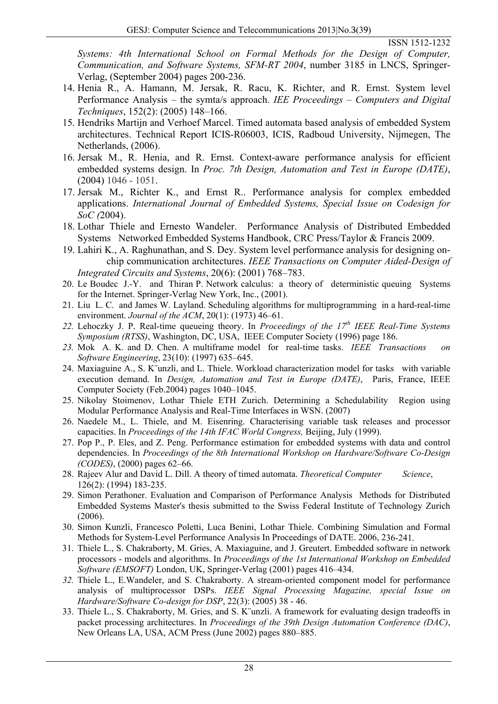*Systems: 4th International School on Formal Methods for the Design of Computer, Communication, and Software Systems, SFM-RT 2004*, number 3185 in LNCS, Springer-Verlag, (September 2004) pages 200-236.

- 14. Henia R., A. Hamann, M. Jersak, R. Racu, K. Richter, and R. Ernst. System level Performance Analysis – the symta/s approach. *IEE Proceedings – Computers and Digital Techniques*, 152(2): (2005) 148–166.
- 15. Hendriks Martijn and Verhoef Marcel. Timed automata based analysis of embedded System architectures. Technical Report ICIS-R06003, ICIS, Radboud University, Nijmegen, The Netherlands, (2006).
- 16. Jersak M., R. Henia, and R. Ernst. Context-aware performance analysis for efficient embedded systems design. In *Proc. 7th Design, Automation and Test in Europe (DATE)*, (2004) 1046 - 1051.
- 17. Jersak M., Richter K., and Ernst R.. Performance analysis for complex embedded applications. *International Journal of Embedded Systems, Special Issue on Codesign for SoC (*2004).
- 18. Lothar Thiele and Ernesto Wandeler. Performance Analysis of Distributed Embedded Systems Networked Embedded Systems Handbook, CRC Press/Taylor & Francis 2009.
- 19. Lahiri K., A. Raghunathan, and S. Dey. System level performance analysis for designing on chip communication architectures. *IEEE Transactions on Computer Aided-Design of Integrated Circuits and Systems*, 20(6): (2001) 768–783.
- 20. Le Boudec J.-Y. and Thiran P. Network calculus: a theory of deterministic queuing Systems for the Internet. Springer-Verlag New York, Inc., (2001).
- 21. Liu L. C. and James W. Layland. Scheduling algorithms for multiprogramming in a hard-real-time environment. *Journal of the ACM*, 20(1): (1973) 46–61.
- *22.* Lehoczky J. P. Real-time queueing theory. In *Proceedings of the 17th IEEE Real-Time Systems Symposium (RTSS)*, Washington, DC, USA, IEEE Computer Society (1996) page 186.
- *23.* Mok A. K. and D. Chen. A multiframe model for real-time tasks. *IEEE Transactions on Software Engineering*, 23(10): (1997) 635–645.
- execution demand. In *Design, Automation and Test in Europe (DATE)*, Paris, France, IEEE 24. Maxiaguine A., S. K¨unzli, and L. Thiele. Workload characterization model for tasks with variable Computer Society (Feb.2004) pages 1040–1045.
- 25. Nikolay Stoimenov, Lothar Thiele ETH Zurich. Determining a Schedulability Region using Modular Performance Analysis and Real-Time Interfaces in WSN. (2007)
- 26. Naedele M., L. Thiele, and M. Eisenring. Characterising variable task releases and processor capacities. In *Proceedings of the 14th IFAC World Congress,* Beijing, July (1999).
- 27. Pop P., P. Eles, and Z. Peng. Performance estimation for embedded systems with data and control dependencies. In *Proceedings of the 8th International Workshop on Hardware/Software Co-Design (CODES)*, (2000) pages 62–66.
- 28. Rajeev Alur and David L. Dill. A theory of timed automata. *Theoretical Computer Science*, 126(2): (1994) 183-235.
- 29. Simon Perathoner. Evaluation and Comparison of Performance Analysis Methods for Distributed Embedded Systems Master's thesis submitted to the Swiss Federal Institute of Technology Zurich (2006).
- Methods for System-Level Performance Analysis In Proceedings of DATE. 2006, 236-241. 30. Simon Kunzli, Francesco Poletti, Luca Benini, Lothar Thiele. Combining Simulation and Formal
- Software (EMSOFT) London, UK, Springer-Verlag (2001) pages 416–434. 31. Thiele L., S. Chakraborty, M. Gries, A. Maxiaguine, and J. Greutert. Embedded software in network processors - models and algorithms. In *Proceedings of the 1st International Workshop on Embedded*
- 32. Thiele L., E.Wandeler, and S. Chakraborty. A stream-oriented component model for performance analysis of multiprocessor DSPs. IEEE Signal Processing Magazine, special Issue on *Hardware/Software Co-design for DSP*, 22(3): (2005) 38 - 46.
- packet processing architectures. In *Proceedings of the 39th Design Automation Conference (DAC)*, 33. Thiele L., S. Chakraborty, M. Gries, and S. K¨unzli. A framework for evaluating design tradeoffs in New Orleans LA, USA, ACM Press (June 2002) pages 880–885.